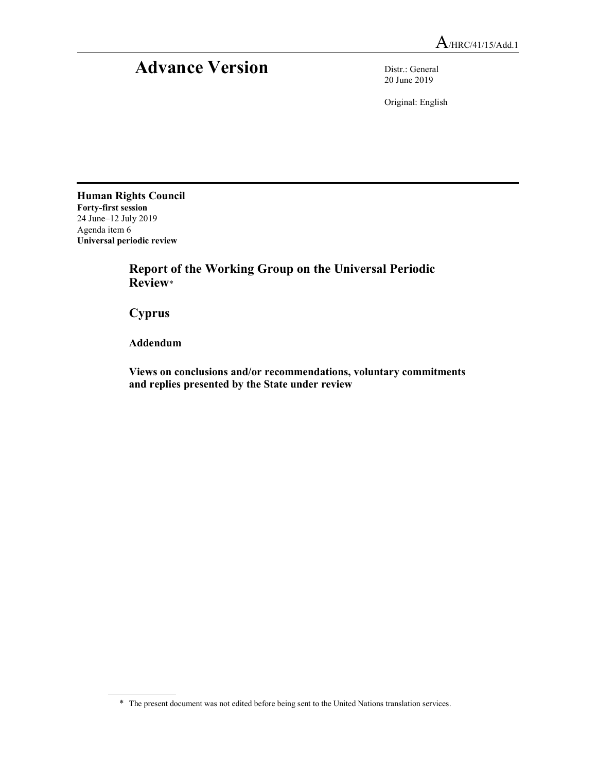# Advance Version Distr.: General

20 June 2019

Original: English

Human Rights Council Forty-first session 24 June–12 July 2019 Agenda item 6 Universal periodic review

 Report of the Working Group on the Universal Periodic Review\*

Cyprus

Addendum

 Views on conclusions and/or recommendations, voluntary commitments and replies presented by the State under review

<sup>\*</sup> The present document was not edited before being sent to the United Nations translation services.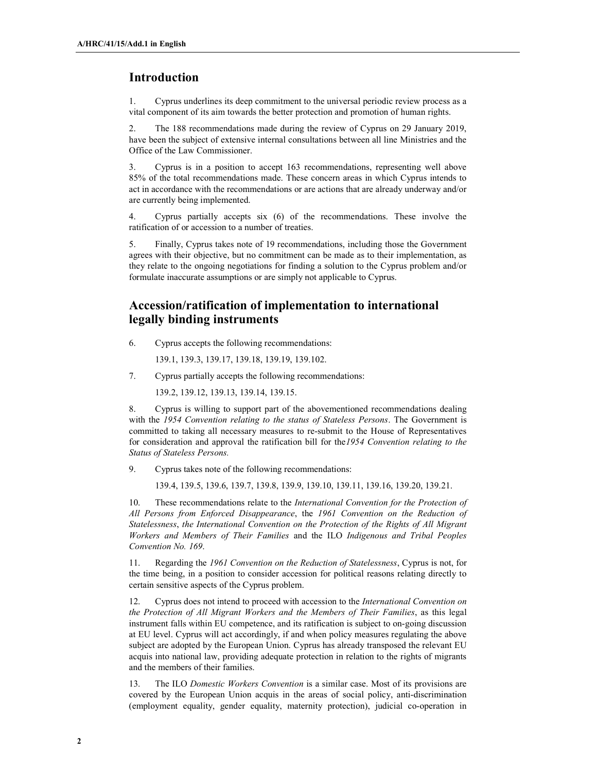## Introduction

1. Cyprus underlines its deep commitment to the universal periodic review process as a vital component of its aim towards the better protection and promotion of human rights.

2. The 188 recommendations made during the review of Cyprus on 29 January 2019, have been the subject of extensive internal consultations between all line Ministries and the Office of the Law Commissioner.

3. Cyprus is in a position to accept 163 recommendations, representing well above 85% of the total recommendations made. These concern areas in which Cyprus intends to act in accordance with the recommendations or are actions that are already underway and/or are currently being implemented.

4. Cyprus partially accepts six (6) of the recommendations. These involve the ratification of or accession to a number of treaties.

5. Finally, Cyprus takes note of 19 recommendations, including those the Government agrees with their objective, but no commitment can be made as to their implementation, as they relate to the ongoing negotiations for finding a solution to the Cyprus problem and/or formulate inaccurate assumptions or are simply not applicable to Cyprus.

# Accession/ratification of implementation to international legally binding instruments

6. Cyprus accepts the following recommendations:

139.1, 139.3, 139.17, 139.18, 139.19, 139.102.

7. Cyprus partially accepts the following recommendations:

139.2, 139.12, 139.13, 139.14, 139.15.

8. Cyprus is willing to support part of the abovementioned recommendations dealing with the 1954 Convention relating to the status of Stateless Persons. The Government is committed to taking all necessary measures to re-submit to the House of Representatives for consideration and approval the ratification bill for the 1954 Convention relating to the Status of Stateless Persons.

9. Cyprus takes note of the following recommendations:

139.4, 139.5, 139.6, 139.7, 139.8, 139.9, 139.10, 139.11, 139.16, 139.20, 139.21.

10. These recommendations relate to the *International Convention for the Protection of* All Persons from Enforced Disappearance, the 1961 Convention on the Reduction of Statelessness, the International Convention on the Protection of the Rights of All Migrant Workers and Members of Their Families and the ILO Indigenous and Tribal Peoples Convention No. 169.

11. Regarding the 1961 Convention on the Reduction of Statelessness, Cyprus is not, for the time being, in a position to consider accession for political reasons relating directly to certain sensitive aspects of the Cyprus problem.

12. Cyprus does not intend to proceed with accession to the *International Convention on* the Protection of All Migrant Workers and the Members of Their Families, as this legal instrument falls within EU competence, and its ratification is subject to on-going discussion at EU level. Cyprus will act accordingly, if and when policy measures regulating the above subject are adopted by the European Union. Cyprus has already transposed the relevant EU acquis into national law, providing adequate protection in relation to the rights of migrants and the members of their families.

13. The ILO Domestic Workers Convention is a similar case. Most of its provisions are covered by the European Union acquis in the areas of social policy, anti-discrimination (employment equality, gender equality, maternity protection), judicial co-operation in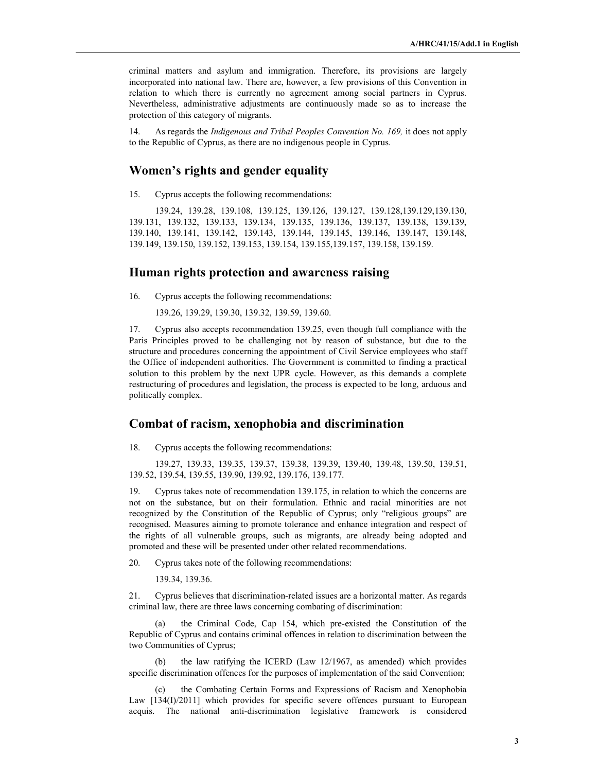criminal matters and asylum and immigration. Therefore, its provisions are largely incorporated into national law. There are, however, a few provisions of this Convention in relation to which there is currently no agreement among social partners in Cyprus. Nevertheless, administrative adjustments are continuously made so as to increase the protection of this category of migrants.

14. As regards the Indigenous and Tribal Peoples Convention No. 169, it does not apply to the Republic of Cyprus, as there are no indigenous people in Cyprus.

#### Women's rights and gender equality

15. Cyprus accepts the following recommendations:

139.24, 139.28, 139.108, 139.125, 139.126, 139.127, 139.128,139.129,139.130, 139.131, 139.132, 139.133, 139.134, 139.135, 139.136, 139.137, 139.138, 139.139, 139.140, 139.141, 139.142, 139.143, 139.144, 139.145, 139.146, 139.147, 139.148, 139.149, 139.150, 139.152, 139.153, 139.154, 139.155,139.157, 139.158, 139.159.

#### Human rights protection and awareness raising

16. Cyprus accepts the following recommendations:

139.26, 139.29, 139.30, 139.32, 139.59, 139.60.

17. Cyprus also accepts recommendation 139.25, even though full compliance with the Paris Principles proved to be challenging not by reason of substance, but due to the structure and procedures concerning the appointment of Civil Service employees who staff the Office of independent authorities. The Government is committed to finding a practical solution to this problem by the next UPR cycle. However, as this demands a complete restructuring of procedures and legislation, the process is expected to be long, arduous and politically complex.

#### Combat of racism, xenophobia and discrimination

18. Cyprus accepts the following recommendations:

139.27, 139.33, 139.35, 139.37, 139.38, 139.39, 139.40, 139.48, 139.50, 139.51, 139.52, 139.54, 139.55, 139.90, 139.92, 139.176, 139.177.

19. Cyprus takes note of recommendation 139.175, in relation to which the concerns are not on the substance, but on their formulation. Ethnic and racial minorities are not recognized by the Constitution of the Republic of Cyprus; only "religious groups" are recognised. Measures aiming to promote tolerance and enhance integration and respect of the rights of all vulnerable groups, such as migrants, are already being adopted and promoted and these will be presented under other related recommendations.

20. Cyprus takes note of the following recommendations:

139.34, 139.36.

21. Cyprus believes that discrimination-related issues are a horizontal matter. As regards criminal law, there are three laws concerning combating of discrimination:

(a) the Criminal Code, Cap 154, which pre-existed the Constitution of the Republic of Cyprus and contains criminal offences in relation to discrimination between the two Communities of Cyprus;

(b) the law ratifying the ICERD (Law 12/1967, as amended) which provides specific discrimination offences for the purposes of implementation of the said Convention;

(c) the Combating Certain Forms and Expressions of Racism and Xenophobia Law [134(I)/2011] which provides for specific severe offences pursuant to European acquis. The national anti-discrimination legislative framework is considered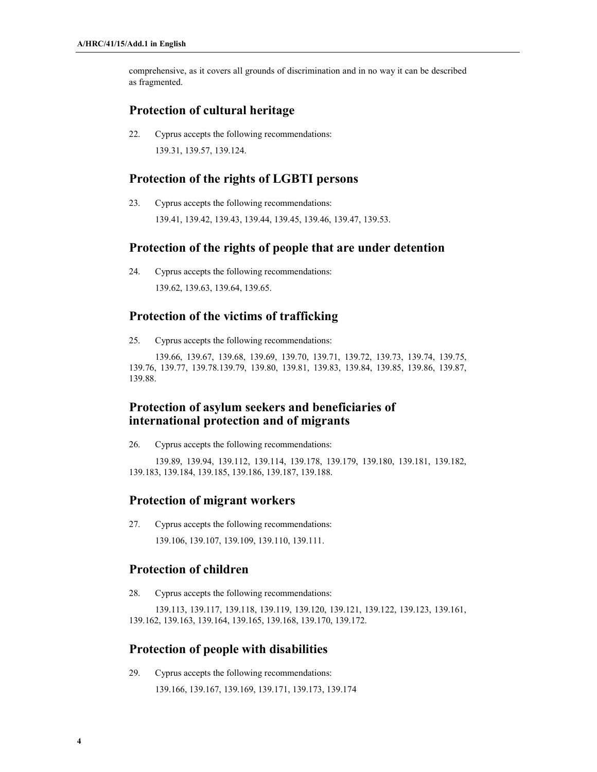comprehensive, as it covers all grounds of discrimination and in no way it can be described as fragmented.

#### Protection of cultural heritage

22. Cyprus accepts the following recommendations: 139.31, 139.57, 139.124.

# Protection of the rights of LGBTI persons

23. Cyprus accepts the following recommendations: 139.41, 139.42, 139.43, 139.44, 139.45, 139.46, 139.47, 139.53.

#### Protection of the rights of people that are under detention

24. Cyprus accepts the following recommendations: 139.62, 139.63, 139.64, 139.65.

# Protection of the victims of trafficking

25. Cyprus accepts the following recommendations:

139.66, 139.67, 139.68, 139.69, 139.70, 139.71, 139.72, 139.73, 139.74, 139.75, 139.76, 139.77, 139.78.139.79, 139.80, 139.81, 139.83, 139.84, 139.85, 139.86, 139.87, 139.88.

# Protection of asylum seekers and beneficiaries of international protection and of migrants

26. Cyprus accepts the following recommendations:

139.89, 139.94, 139.112, 139.114, 139.178, 139.179, 139.180, 139.181, 139.182, 139.183, 139.184, 139.185, 139.186, 139.187, 139.188.

## Protection of migrant workers

27. Cyprus accepts the following recommendations:

139.106, 139.107, 139.109, 139.110, 139.111.

# Protection of children

28. Cyprus accepts the following recommendations:

139.113, 139.117, 139.118, 139.119, 139.120, 139.121, 139.122, 139.123, 139.161, 139.162, 139.163, 139.164, 139.165, 139.168, 139.170, 139.172.

## Protection of people with disabilities

29. Cyprus accepts the following recommendations:

139.166, 139.167, 139.169, 139.171, 139.173, 139.174